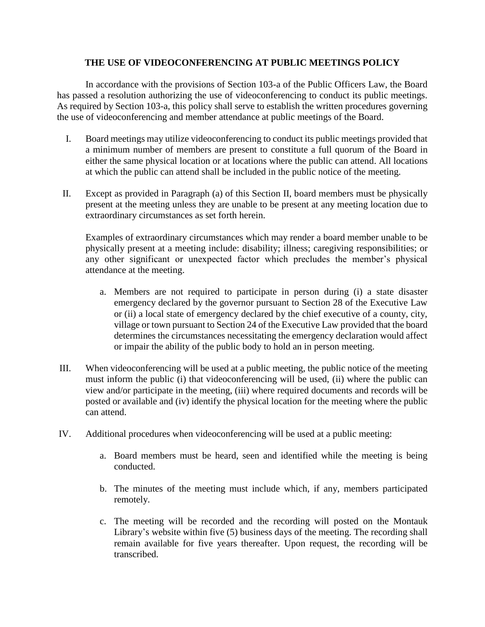## **THE USE OF VIDEOCONFERENCING AT PUBLIC MEETINGS POLICY**

In accordance with the provisions of Section 103-a of the Public Officers Law, the Board has passed a resolution authorizing the use of videoconferencing to conduct its public meetings. As required by Section 103-a, this policy shall serve to establish the written procedures governing the use of videoconferencing and member attendance at public meetings of the Board.

- I. Board meetings may utilize videoconferencing to conduct its public meetings provided that a minimum number of members are present to constitute a full quorum of the Board in either the same physical location or at locations where the public can attend. All locations at which the public can attend shall be included in the public notice of the meeting.
- II. Except as provided in Paragraph (a) of this Section II, board members must be physically present at the meeting unless they are unable to be present at any meeting location due to extraordinary circumstances as set forth herein.

Examples of extraordinary circumstances which may render a board member unable to be physically present at a meeting include: disability; illness; caregiving responsibilities; or any other significant or unexpected factor which precludes the member's physical attendance at the meeting.

- a. Members are not required to participate in person during (i) a state disaster emergency declared by the governor pursuant to Section 28 of the Executive Law or (ii) a local state of emergency declared by the chief executive of a county, city, village or town pursuant to Section 24 of the Executive Law provided that the board determines the circumstances necessitating the emergency declaration would affect or impair the ability of the public body to hold an in person meeting.
- III. When videoconferencing will be used at a public meeting, the public notice of the meeting must inform the public (i) that videoconferencing will be used, (ii) where the public can view and/or participate in the meeting, (iii) where required documents and records will be posted or available and (iv) identify the physical location for the meeting where the public can attend.
- IV. Additional procedures when videoconferencing will be used at a public meeting:
	- a. Board members must be heard, seen and identified while the meeting is being conducted.
	- b. The minutes of the meeting must include which, if any, members participated remotely.
	- c. The meeting will be recorded and the recording will posted on the Montauk Library's website within five (5) business days of the meeting. The recording shall remain available for five years thereafter. Upon request, the recording will be transcribed.